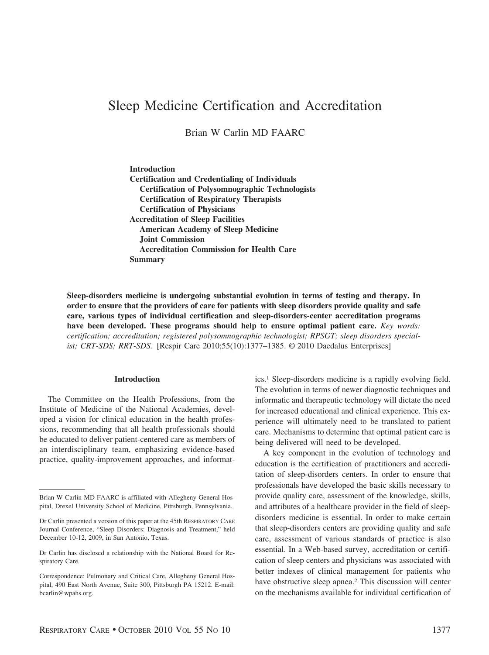# Sleep Medicine Certification and Accreditation

Brian W Carlin MD FAARC

**Introduction Certification and Credentialing of Individuals Certification of Polysomnographic Technologists Certification of Respiratory Therapists Certification of Physicians Accreditation of Sleep Facilities American Academy of Sleep Medicine Joint Commission Accreditation Commission for Health Care Summary**

**Sleep-disorders medicine is undergoing substantial evolution in terms of testing and therapy. In order to ensure that the providers of care for patients with sleep disorders provide quality and safe care, various types of individual certification and sleep-disorders-center accreditation programs have been developed. These programs should help to ensure optimal patient care.** *Key words: certification; accreditation; registered polysomnographic technologist; RPSGT; sleep disorders specialist; CRT-SDS; RRT-SDS.* [Respir Care 2010;55(10):1377–1385. © 2010 Daedalus Enterprises]

## **Introduction**

The Committee on the Health Professions, from the Institute of Medicine of the National Academies, developed a vision for clinical education in the health professions, recommending that all health professionals should be educated to deliver patient-centered care as members of an interdisciplinary team, emphasizing evidence-based practice, quality-improvement approaches, and informatics.1 Sleep-disorders medicine is a rapidly evolving field. The evolution in terms of newer diagnostic techniques and informatic and therapeutic technology will dictate the need for increased educational and clinical experience. This experience will ultimately need to be translated to patient care. Mechanisms to determine that optimal patient care is being delivered will need to be developed.

A key component in the evolution of technology and education is the certification of practitioners and accreditation of sleep-disorders centers. In order to ensure that professionals have developed the basic skills necessary to provide quality care, assessment of the knowledge, skills, and attributes of a healthcare provider in the field of sleepdisorders medicine is essential. In order to make certain that sleep-disorders centers are providing quality and safe care, assessment of various standards of practice is also essential. In a Web-based survey, accreditation or certification of sleep centers and physicians was associated with better indexes of clinical management for patients who have obstructive sleep apnea.2 This discussion will center on the mechanisms available for individual certification of

Brian W Carlin MD FAARC is affiliated with Allegheny General Hospital, Drexel University School of Medicine, Pittsburgh, Pennsylvania.

Dr Carlin presented a version of this paper at the 45th RESPIRATORY CARE Journal Conference, "Sleep Disorders: Diagnosis and Treatment," held December 10-12, 2009, in San Antonio, Texas.

Dr Carlin has disclosed a relationship with the National Board for Respiratory Care.

Correspondence: Pulmonary and Critical Care, Allegheny General Hospital, 490 East North Avenue, Suite 300, Pittsburgh PA 15212. E-mail: bcarlin@wpahs.org.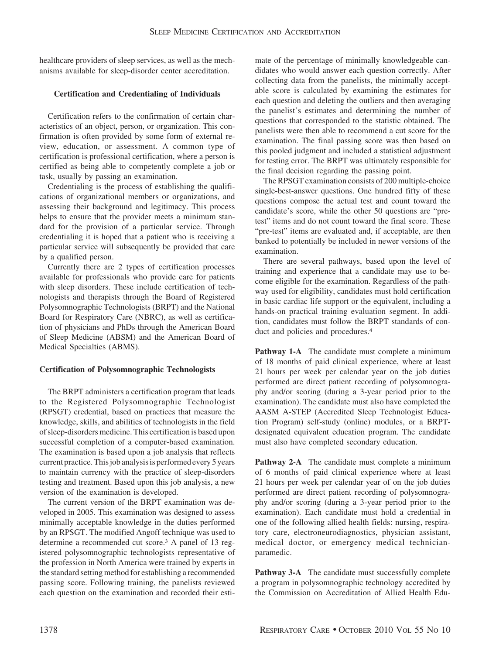healthcare providers of sleep services, as well as the mechanisms available for sleep-disorder center accreditation.

# **Certification and Credentialing of Individuals**

Certification refers to the confirmation of certain characteristics of an object, person, or organization. This confirmation is often provided by some form of external review, education, or assessment. A common type of certification is professional certification, where a person is certified as being able to competently complete a job or task, usually by passing an examination.

Credentialing is the process of establishing the qualifications of organizational members or organizations, and assessing their background and legitimacy. This process helps to ensure that the provider meets a minimum standard for the provision of a particular service. Through credentialing it is hoped that a patient who is receiving a particular service will subsequently be provided that care by a qualified person.

Currently there are 2 types of certification processes available for professionals who provide care for patients with sleep disorders. These include certification of technologists and therapists through the Board of Registered Polysomnographic Technologists (BRPT) and the National Board for Respiratory Care (NBRC), as well as certification of physicians and PhDs through the American Board of Sleep Medicine (ABSM) and the American Board of Medical Specialties (ABMS).

# **Certification of Polysomnographic Technologists**

The BRPT administers a certification program that leads to the Registered Polysomnographic Technologist (RPSGT) credential, based on practices that measure the knowledge, skills, and abilities of technologists in the field of sleep-disorders medicine. This certification is based upon successful completion of a computer-based examination. The examination is based upon a job analysis that reflects current practice. This job analysis is performed every 5 years to maintain currency with the practice of sleep-disorders testing and treatment. Based upon this job analysis, a new version of the examination is developed.

The current version of the BRPT examination was developed in 2005. This examination was designed to assess minimally acceptable knowledge in the duties performed by an RPSGT. The modified Angoff technique was used to determine a recommended cut score.3 A panel of 13 registered polysomnographic technologists representative of the profession in North America were trained by experts in the standard setting method for establishing a recommended passing score. Following training, the panelists reviewed each question on the examination and recorded their estimate of the percentage of minimally knowledgeable candidates who would answer each question correctly. After collecting data from the panelists, the minimally acceptable score is calculated by examining the estimates for each question and deleting the outliers and then averaging the panelist's estimates and determining the number of questions that corresponded to the statistic obtained. The panelists were then able to recommend a cut score for the examination. The final passing score was then based on this pooled judgment and included a statistical adjustment for testing error. The BRPT was ultimately responsible for the final decision regarding the passing point.

The RPSGT examination consists of 200 multiple-choice single-best-answer questions. One hundred fifty of these questions compose the actual test and count toward the candidate's score, while the other 50 questions are "pretest" items and do not count toward the final score. These "pre-test" items are evaluated and, if acceptable, are then banked to potentially be included in newer versions of the examination.

There are several pathways, based upon the level of training and experience that a candidate may use to become eligible for the examination. Regardless of the pathway used for eligibility, candidates must hold certification in basic cardiac life support or the equivalent, including a hands-on practical training evaluation segment. In addition, candidates must follow the BRPT standards of conduct and policies and procedures.<sup>4</sup>

Pathway 1-A The candidate must complete a minimum of 18 months of paid clinical experience, where at least 21 hours per week per calendar year on the job duties performed are direct patient recording of polysomnography and/or scoring (during a 3-year period prior to the examination). The candidate must also have completed the AASM A-STEP (Accredited Sleep Technologist Education Program) self-study (online) modules, or a BRPTdesignated equivalent education program. The candidate must also have completed secondary education.

**Pathway 2-A** The candidate must complete a minimum of 6 months of paid clinical experience where at least 21 hours per week per calendar year of on the job duties performed are direct patient recording of polysomnography and/or scoring (during a 3-year period prior to the examination). Each candidate must hold a credential in one of the following allied health fields: nursing, respiratory care, electroneurodiagnostics, physician assistant, medical doctor, or emergency medical technicianparamedic.

Pathway 3-A The candidate must successfully complete a program in polysomnographic technology accredited by the Commission on Accreditation of Allied Health Edu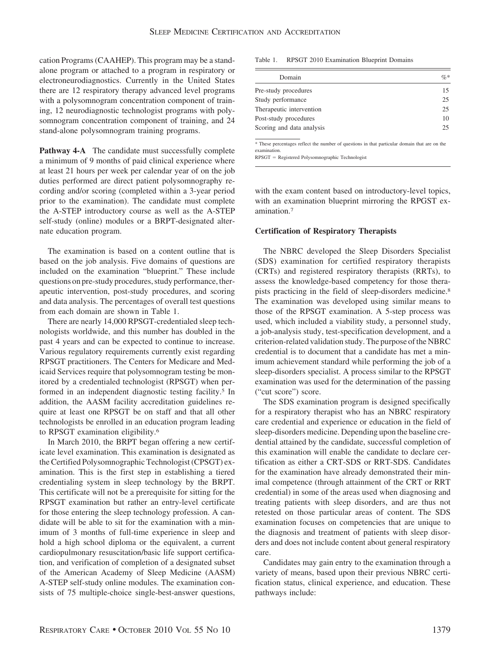cation Programs (CAAHEP). This program may be a standalone program or attached to a program in respiratory or electroneurodiagnostics. Currently in the United States there are 12 respiratory therapy advanced level programs with a polysomnogram concentration component of training, 12 neurodiagnostic technologist programs with polysomnogram concentration component of training, and 24 stand-alone polysomnogram training programs.

Pathway 4-A The candidate must successfully complete a minimum of 9 months of paid clinical experience where at least 21 hours per week per calendar year of on the job duties performed are direct patient polysomnography recording and/or scoring (completed within a 3-year period prior to the examination). The candidate must complete the A-STEP introductory course as well as the A-STEP self-study (online) modules or a BRPT-designated alternate education program.

The examination is based on a content outline that is based on the job analysis. Five domains of questions are included on the examination "blueprint." These include questions on pre-study procedures, study performance, therapeutic intervention, post-study procedures, and scoring and data analysis. The percentages of overall test questions from each domain are shown in Table 1.

There are nearly 14,000 RPSGT-credentialed sleep technologists worldwide, and this number has doubled in the past 4 years and can be expected to continue to increase. Various regulatory requirements currently exist regarding RPSGT practitioners. The Centers for Medicare and Medicaid Services require that polysomnogram testing be monitored by a credentialed technologist (RPSGT) when performed in an independent diagnostic testing facility.<sup>5</sup> In addition, the AASM facility accreditation guidelines require at least one RPSGT be on staff and that all other technologists be enrolled in an education program leading to RPSGT examination eligibility.6

In March 2010, the BRPT began offering a new certificate level examination. This examination is designated as the Certified Polysomnographic Technologist (CPSGT) examination. This is the first step in establishing a tiered credentialing system in sleep technology by the BRPT. This certificate will not be a prerequisite for sitting for the RPSGT examination but rather an entry-level certificate for those entering the sleep technology profession. A candidate will be able to sit for the examination with a minimum of 3 months of full-time experience in sleep and hold a high school diploma or the equivalent, a current cardiopulmonary resuscitation/basic life support certification, and verification of completion of a designated subset of the American Academy of Sleep Medicine (AASM) A-STEP self-study online modules. The examination consists of 75 multiple-choice single-best-answer questions, Table 1. RPSGT 2010 Examination Blueprint Domains

| Domain                                                                                            | $\mathcal{O}'_0$ * |
|---------------------------------------------------------------------------------------------------|--------------------|
| Pre-study procedures                                                                              | 15                 |
| Study performance                                                                                 | 25                 |
| Therapeutic intervention                                                                          | 25                 |
| Post-study procedures                                                                             | 10                 |
| Scoring and data analysis                                                                         | 25                 |
| 8. These monocotrons method the propeless of creations in the monicular dependent that are no the |                    |

These percentages reflect the number of questions in that particular domain that are on the examination.

RPSGT Registered Polysomnographic Technologist

with the exam content based on introductory-level topics, with an examination blueprint mirroring the RPGST examination.7

## **Certification of Respiratory Therapists**

The NBRC developed the Sleep Disorders Specialist (SDS) examination for certified respiratory therapists (CRTs) and registered respiratory therapists (RRTs), to assess the knowledge-based competency for those therapists practicing in the field of sleep-disorders medicine.8 The examination was developed using similar means to those of the RPSGT examination. A 5-step process was used, which included a viability study, a personnel study, a job-analysis study, test-specification development, and a criterion-related validation study. The purpose of the NBRC credential is to document that a candidate has met a minimum achievement standard while performing the job of a sleep-disorders specialist. A process similar to the RPSGT examination was used for the determination of the passing ("cut score") score.

The SDS examination program is designed specifically for a respiratory therapist who has an NBRC respiratory care credential and experience or education in the field of sleep-disorders medicine. Depending upon the baseline credential attained by the candidate, successful completion of this examination will enable the candidate to declare certification as either a CRT-SDS or RRT-SDS. Candidates for the examination have already demonstrated their minimal competence (through attainment of the CRT or RRT credential) in some of the areas used when diagnosing and treating patients with sleep disorders, and are thus not retested on those particular areas of content. The SDS examination focuses on competencies that are unique to the diagnosis and treatment of patients with sleep disorders and does not include content about general respiratory care.

Candidates may gain entry to the examination through a variety of means, based upon their previous NBRC certification status, clinical experience, and education. These pathways include: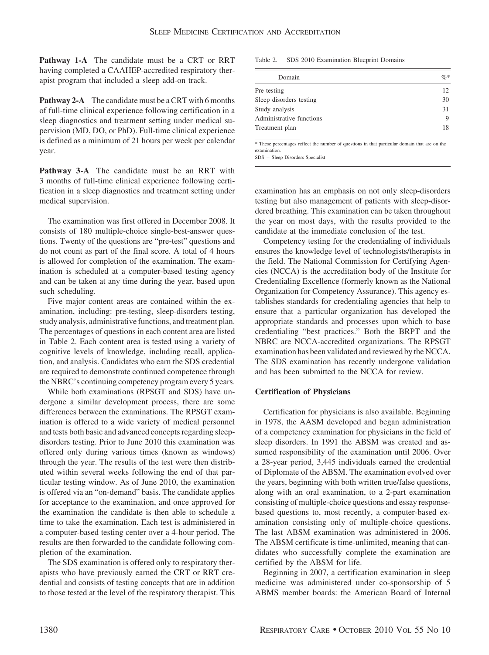**Pathway 1-A** The candidate must be a CRT or RRT having completed a CAAHEP-accredited respiratory therapist program that included a sleep add-on track.

**Pathway 2-A** The candidate must be a CRT with 6 months of full-time clinical experience following certification in a sleep diagnostics and treatment setting under medical supervision (MD, DO, or PhD). Full-time clinical experience is defined as a minimum of 21 hours per week per calendar year.

**Pathway 3-A** The candidate must be an RRT with 3 months of full-time clinical experience following certification in a sleep diagnostics and treatment setting under medical supervision.

The examination was first offered in December 2008. It consists of 180 multiple-choice single-best-answer questions. Twenty of the questions are "pre-test" questions and do not count as part of the final score. A total of 4 hours is allowed for completion of the examination. The examination is scheduled at a computer-based testing agency and can be taken at any time during the year, based upon such scheduling.

Five major content areas are contained within the examination, including: pre-testing, sleep-disorders testing, study analysis, administrative functions, and treatment plan. The percentages of questions in each content area are listed in Table 2. Each content area is tested using a variety of cognitive levels of knowledge, including recall, application, and analysis. Candidates who earn the SDS credential are required to demonstrate continued competence through the NBRC's continuing competency program every 5 years.

While both examinations (RPSGT and SDS) have undergone a similar development process, there are some differences between the examinations. The RPSGT examination is offered to a wide variety of medical personnel and tests both basic and advanced concepts regarding sleepdisorders testing. Prior to June 2010 this examination was offered only during various times (known as windows) through the year. The results of the test were then distributed within several weeks following the end of that particular testing window. As of June 2010, the examination is offered via an "on-demand" basis. The candidate applies for acceptance to the examination, and once approved for the examination the candidate is then able to schedule a time to take the examination. Each test is administered in a computer-based testing center over a 4-hour period. The results are then forwarded to the candidate following completion of the examination.

The SDS examination is offered only to respiratory therapists who have previously earned the CRT or RRT credential and consists of testing concepts that are in addition to those tested at the level of the respiratory therapist. This Table 2. SDS 2010 Examination Blueprint Domains

| Domain                                                                                        | $\%$ |
|-----------------------------------------------------------------------------------------------|------|
| Pre-testing                                                                                   | 12   |
| Sleep disorders testing                                                                       | 30   |
| Study analysis                                                                                | 31   |
| Administrative functions                                                                      | 9    |
| Treatment plan                                                                                | 18   |
| * These percentages reflect the number of questions in that particular domain that are on the |      |

examination.

 $SDS = Sleep Disorders Specialist$ 

examination has an emphasis on not only sleep-disorders testing but also management of patients with sleep-disordered breathing. This examination can be taken throughout the year on most days, with the results provided to the candidate at the immediate conclusion of the test.

Competency testing for the credentialing of individuals ensures the knowledge level of technologists/therapists in the field. The National Commission for Certifying Agencies (NCCA) is the accreditation body of the Institute for Credentialing Excellence (formerly known as the National Organization for Competency Assurance). This agency establishes standards for credentialing agencies that help to ensure that a particular organization has developed the appropriate standards and processes upon which to base credentialing "best practices." Both the BRPT and the NBRC are NCCA-accredited organizations. The RPSGT examination has been validated and reviewed by the NCCA. The SDS examination has recently undergone validation and has been submitted to the NCCA for review.

## **Certification of Physicians**

Certification for physicians is also available. Beginning in 1978, the AASM developed and began administration of a competency examination for physicians in the field of sleep disorders. In 1991 the ABSM was created and assumed responsibility of the examination until 2006. Over a 28-year period, 3,445 individuals earned the credential of Diplomate of the ABSM. The examination evolved over the years, beginning with both written true/false questions, along with an oral examination, to a 2-part examination consisting of multiple-choice questions and essay responsebased questions to, most recently, a computer-based examination consisting only of multiple-choice questions. The last ABSM examination was administered in 2006. The ABSM certificate is time-unlimited, meaning that candidates who successfully complete the examination are certified by the ABSM for life.

Beginning in 2007, a certification examination in sleep medicine was administered under co-sponsorship of 5 ABMS member boards: the American Board of Internal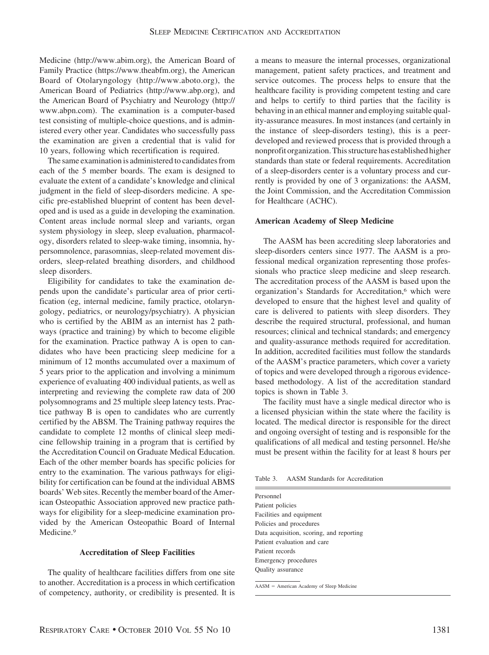Medicine (http://www.abim.org), the American Board of Family Practice (https://www.theabfm.org), the American Board of Otolaryngology (http://www.aboto.org), the American Board of Pediatrics (http://www.abp.org), and the American Board of Psychiatry and Neurology (http:// www.abpn.com). The examination is a computer-based test consisting of multiple-choice questions, and is administered every other year. Candidates who successfully pass the examination are given a credential that is valid for 10 years, following which recertification is required.

The same examination is administered to candidates from each of the 5 member boards. The exam is designed to evaluate the extent of a candidate's knowledge and clinical judgment in the field of sleep-disorders medicine. A specific pre-established blueprint of content has been developed and is used as a guide in developing the examination. Content areas include normal sleep and variants, organ system physiology in sleep, sleep evaluation, pharmacology, disorders related to sleep-wake timing, insomnia, hypersomnolence, parasomnias, sleep-related movement disorders, sleep-related breathing disorders, and childhood sleep disorders.

Eligibility for candidates to take the examination depends upon the candidate's particular area of prior certification (eg, internal medicine, family practice, otolaryngology, pediatrics, or neurology/psychiatry). A physician who is certified by the ABIM as an internist has 2 pathways (practice and training) by which to become eligible for the examination. Practice pathway A is open to candidates who have been practicing sleep medicine for a minimum of 12 months accumulated over a maximum of 5 years prior to the application and involving a minimum experience of evaluating 400 individual patients, as well as interpreting and reviewing the complete raw data of 200 polysomnograms and 25 multiple sleep latency tests. Practice pathway B is open to candidates who are currently certified by the ABSM. The Training pathway requires the candidate to complete 12 months of clinical sleep medicine fellowship training in a program that is certified by the Accreditation Council on Graduate Medical Education. Each of the other member boards has specific policies for entry to the examination. The various pathways for eligibility for certification can be found at the individual ABMS boards' Web sites. Recently the member board of the American Osteopathic Association approved new practice pathways for eligibility for a sleep-medicine examination provided by the American Osteopathic Board of Internal Medicine.<sup>9</sup>

## **Accreditation of Sleep Facilities**

The quality of healthcare facilities differs from one site to another. Accreditation is a process in which certification of competency, authority, or credibility is presented. It is a means to measure the internal processes, organizational management, patient safety practices, and treatment and service outcomes. The process helps to ensure that the healthcare facility is providing competent testing and care and helps to certify to third parties that the facility is behaving in an ethical manner and employing suitable quality-assurance measures. In most instances (and certainly in the instance of sleep-disorders testing), this is a peerdeveloped and reviewed process that is provided through a nonprofit organization. This structure has established higher standards than state or federal requirements. Accreditation of a sleep-disorders center is a voluntary process and currently is provided by one of 3 organizations: the AASM, the Joint Commission, and the Accreditation Commission for Healthcare (ACHC).

#### **American Academy of Sleep Medicine**

The AASM has been accrediting sleep laboratories and sleep-disorders centers since 1977. The AASM is a professional medical organization representing those professionals who practice sleep medicine and sleep research. The accreditation process of the AASM is based upon the organization's Standards for Accreditation,<sup>6</sup> which were developed to ensure that the highest level and quality of care is delivered to patients with sleep disorders. They describe the required structural, professional, and human resources; clinical and technical standards; and emergency and quality-assurance methods required for accreditation. In addition, accredited facilities must follow the standards of the AASM's practice parameters, which cover a variety of topics and were developed through a rigorous evidencebased methodology. A list of the accreditation standard topics is shown in Table 3.

The facility must have a single medical director who is a licensed physician within the state where the facility is located. The medical director is responsible for the direct and ongoing oversight of testing and is responsible for the qualifications of all medical and testing personnel. He/she must be present within the facility for at least 8 hours per

Table 3. AASM Standards for Accreditation

| Personnel                                |  |
|------------------------------------------|--|
| Patient policies                         |  |
| Facilities and equipment                 |  |
| Policies and procedures                  |  |
| Data acquisition, scoring, and reporting |  |
| Patient evaluation and care              |  |
| Patient records                          |  |
| Emergency procedures                     |  |
| <b>Ouality</b> assurance                 |  |
|                                          |  |

 $AASM = American Academy of Sleep Medicine$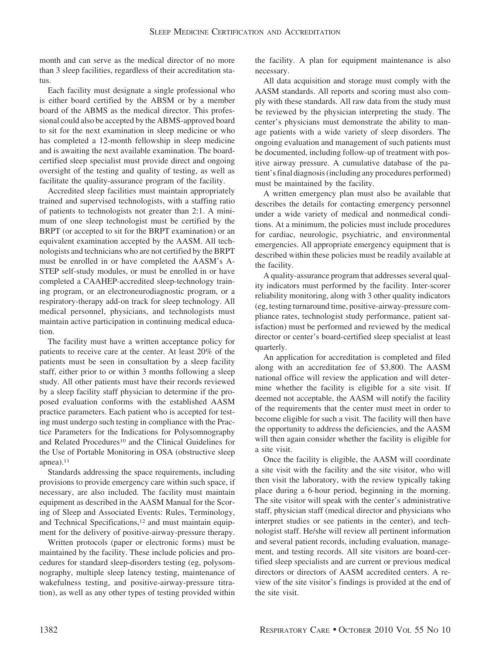month and can serve as the medical director of no more than 3 sleep facilities, regardless of their accreditation status.

Each facility must designate a single professional who is either board certified by the ABSM or by a member board of the ABMS as the medical director. This professional could also be accepted by the ABMS-approved board to sit for the next examination in sleep medicine or who has completed a 12-month fellowship in sleep medicine and is awaiting the next available examination. The boardcertified sleep specialist must provide direct and ongoing oversight of the testing and quality of testing, as well as facilitate the quality-assurance program of the facility.

Accredited sleep facilities must maintain appropriately trained and supervised technologists, with a staffing ratio of patients to technologists not greater than 2:1. A minimum of one sleep technologist must be certified by the BRPT (or accepted to sit for the BRPT examination) or an equivalent examination accepted by the AASM. All technologists and technicians who are not certified by the BRPT must be enrolled in or have completed the AASM's A-STEP self-study modules, or must be enrolled in or have completed a CAAHEP-accredited sleep-technology training program, or an electroneurodiagnostic program, or a respiratory-therapy add-on track for sleep technology. All medical personnel, physicians, and technologists must maintain active participation in continuing medical education.

The facility must have a written acceptance policy for patients to receive care at the center. At least 20% of the patients must be seen in consultation by a sleep facility staff, either prior to or within 3 months following a sleep study. All other patients must have their records reviewed by a sleep facility staff physician to determine if the proposed evaluation conforms with the established AASM practice parameters. Each patient who is accepted for testing must undergo such testing in compliance with the Practice Parameters for the Indications for Polysomnography and Related Procedures<sup>10</sup> and the Clinical Guidelines for the Use of Portable Monitoring in OSA (obstructive sleep apnea). $11$ 

Standards addressing the space requirements, including provisions to provide emergency care within such space, if necessary, are also included. The facility must maintain equipment as described in the AASM Manual for the Scoring of Sleep and Associated Events: Rules, Terminology, and Technical Specifications,<sup>12</sup> and must maintain equipment for the delivery of positive-airway-pressure therapy.

Written protocols (paper or electronic forms) must be maintained by the facility. These include policies and procedures for standard sleep-disorders testing (eg, polysomnography, multiple sleep latency testing, maintenance of wakefulness testing, and positive-airway-pressure titration), as well as any other types of testing provided within

the facility. A plan for equipment maintenance is also necessary.

All data acquisition and storage must comply with the AASM standards. All reports and scoring must also comply with these standards. All raw data from the study must be reviewed by the physician interpreting the study. The center's physicians must demonstrate the ability to manage patients with a wide variety of sleep disorders. The ongoing evaluation and management of such patients must be documented, including follow-up of treatment with positive airway pressure. A cumulative database of the patient's final diagnosis (including any procedures performed) must be maintained by the facility.

A written emergency plan must also be available that describes the details for contacting emergency personnel under a wide variety of medical and nonmedical conditions. At a minimum, the policies must include procedures for cardiac, neurologic, psychiatric, and environmental emergencies. All appropriate emergency equipment that is described within these policies must be readily available at the facility.

A quality-assurance program that addresses several quality indicators must performed by the facility. Inter-scorer reliability monitoring, along with 3 other quality indicators (eg, testing turnaround time, positive-airway-pressure compliance rates, technologist study performance, patient satisfaction) must be performed and reviewed by the medical director or center's board-certified sleep specialist at least quarterly.

An application for accreditation is completed and filed along with an accreditation fee of \$3,800. The AASM national office will review the application and will determine whether the facility is eligible for a site visit. If deemed not acceptable, the AASM will notify the facility of the requirements that the center must meet in order to become eligible for such a visit. The facility will then have the opportunity to address the deficiencies, and the AASM will then again consider whether the facility is eligible for a site visit.

Once the facility is eligible, the AASM will coordinate a site visit with the facility and the site visitor, who will then visit the laboratory, with the review typically taking place during a 6-hour period, beginning in the morning. The site visitor will speak with the center's administrative staff, physician staff (medical director and physicians who interpret studies or see patients in the center), and technologist staff. He/she will review all pertinent information and several patient records, including evaluation, management, and testing records. All site visitors are board-certified sleep specialists and are current or previous medical directors or directors of AASM accredited centers. A review of the site visitor's findings is provided at the end of the site visit.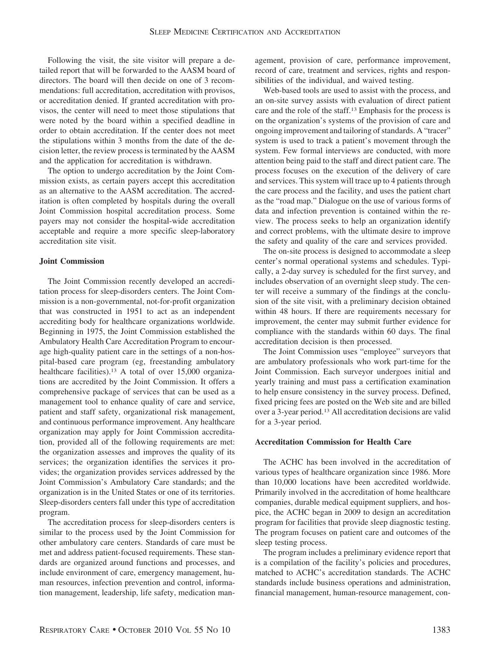Following the visit, the site visitor will prepare a detailed report that will be forwarded to the AASM board of directors. The board will then decide on one of 3 recommendations: full accreditation, accreditation with provisos, or accreditation denied. If granted accreditation with provisos, the center will need to meet those stipulations that were noted by the board within a specified deadline in order to obtain accreditation. If the center does not meet the stipulations within 3 months from the date of the decision letter, the review process is terminated by the AASM and the application for accreditation is withdrawn.

The option to undergo accreditation by the Joint Commission exists, as certain payers accept this accreditation as an alternative to the AASM accreditation. The accreditation is often completed by hospitals during the overall Joint Commission hospital accreditation process. Some payers may not consider the hospital-wide accreditation acceptable and require a more specific sleep-laboratory accreditation site visit.

# **Joint Commission**

The Joint Commission recently developed an accreditation process for sleep-disorders centers. The Joint Commission is a non-governmental, not-for-profit organization that was constructed in 1951 to act as an independent accrediting body for healthcare organizations worldwide. Beginning in 1975, the Joint Commission established the Ambulatory Health Care Accreditation Program to encourage high-quality patient care in the settings of a non-hospital-based care program (eg, freestanding ambulatory healthcare facilities).<sup>13</sup> A total of over 15,000 organizations are accredited by the Joint Commission. It offers a comprehensive package of services that can be used as a management tool to enhance quality of care and service, patient and staff safety, organizational risk management, and continuous performance improvement. Any healthcare organization may apply for Joint Commission accreditation, provided all of the following requirements are met: the organization assesses and improves the quality of its services; the organization identifies the services it provides; the organization provides services addressed by the Joint Commission's Ambulatory Care standards; and the organization is in the United States or one of its territories. Sleep-disorders centers fall under this type of accreditation program.

The accreditation process for sleep-disorders centers is similar to the process used by the Joint Commission for other ambulatory care centers. Standards of care must be met and address patient-focused requirements. These standards are organized around functions and processes, and include environment of care, emergency management, human resources, infection prevention and control, information management, leadership, life safety, medication man-

agement, provision of care, performance improvement, record of care, treatment and services, rights and responsibilities of the individual, and waived testing.

Web-based tools are used to assist with the process, and an on-site survey assists with evaluation of direct patient care and the role of the staff.13 Emphasis for the process is on the organization's systems of the provision of care and ongoing improvement and tailoring of standards. A "tracer" system is used to track a patient's movement through the system. Few formal interviews are conducted, with more attention being paid to the staff and direct patient care. The process focuses on the execution of the delivery of care and services. This system will trace up to 4 patients through the care process and the facility, and uses the patient chart as the "road map." Dialogue on the use of various forms of data and infection prevention is contained within the review. The process seeks to help an organization identify and correct problems, with the ultimate desire to improve the safety and quality of the care and services provided.

The on-site process is designed to accommodate a sleep center's normal operational systems and schedules. Typically, a 2-day survey is scheduled for the first survey, and includes observation of an overnight sleep study. The center will receive a summary of the findings at the conclusion of the site visit, with a preliminary decision obtained within 48 hours. If there are requirements necessary for improvement, the center may submit further evidence for compliance with the standards within 60 days. The final accreditation decision is then processed.

The Joint Commission uses "employee" surveyors that are ambulatory professionals who work part-time for the Joint Commission. Each surveyor undergoes initial and yearly training and must pass a certification examination to help ensure consistency in the survey process. Defined, fixed pricing fees are posted on the Web site and are billed over a 3-year period.13 All accreditation decisions are valid for a 3-year period.

# **Accreditation Commission for Health Care**

The ACHC has been involved in the accreditation of various types of healthcare organization since 1986. More than 10,000 locations have been accredited worldwide. Primarily involved in the accreditation of home healthcare companies, durable medical equipment suppliers, and hospice, the ACHC began in 2009 to design an accreditation program for facilities that provide sleep diagnostic testing. The program focuses on patient care and outcomes of the sleep testing process.

The program includes a preliminary evidence report that is a compilation of the facility's policies and procedures, matched to ACHC's accreditation standards. The ACHC standards include business operations and administration, financial management, human-resource management, con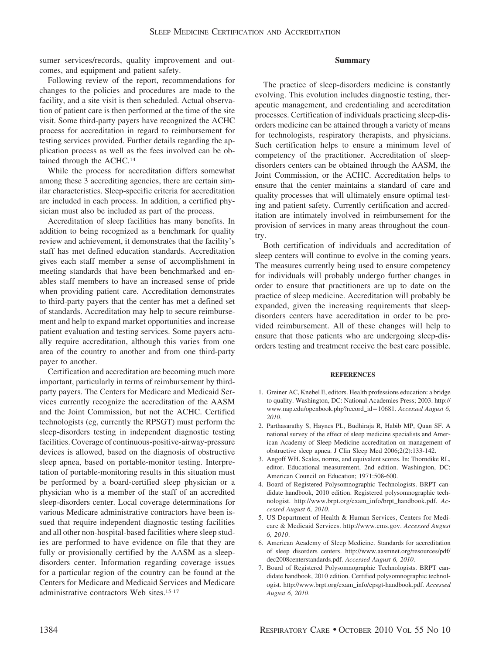sumer services/records, quality improvement and outcomes, and equipment and patient safety.

## **Summary**

Following review of the report, recommendations for changes to the policies and procedures are made to the facility, and a site visit is then scheduled. Actual observation of patient care is then performed at the time of the site visit. Some third-party payers have recognized the ACHC process for accreditation in regard to reimbursement for testing services provided. Further details regarding the application process as well as the fees involved can be obtained through the ACHC.14

While the process for accreditation differs somewhat among these 3 accrediting agencies, there are certain similar characteristics. Sleep-specific criteria for accreditation are included in each process. In addition, a certified physician must also be included as part of the process.

Accreditation of sleep facilities has many benefits. In addition to being recognized as a benchmark for quality review and achievement, it demonstrates that the facility's staff has met defined education standards. Accreditation gives each staff member a sense of accomplishment in meeting standards that have been benchmarked and enables staff members to have an increased sense of pride when providing patient care. Accreditation demonstrates to third-party payers that the center has met a defined set of standards. Accreditation may help to secure reimbursement and help to expand market opportunities and increase patient evaluation and testing services. Some payers actually require accreditation, although this varies from one area of the country to another and from one third-party payer to another.

Certification and accreditation are becoming much more important, particularly in terms of reimbursement by thirdparty payers. The Centers for Medicare and Medicaid Services currently recognize the accreditation of the AASM and the Joint Commission, but not the ACHC. Certified technologists (eg, currently the RPSGT) must perform the sleep-disorders testing in independent diagnostic testing facilities. Coverage of continuous-positive-airway-pressure devices is allowed, based on the diagnosis of obstructive sleep apnea, based on portable-monitor testing. Interpretation of portable-monitoring results in this situation must be performed by a board-certified sleep physician or a physician who is a member of the staff of an accredited sleep-disorders center. Local coverage determinations for various Medicare administrative contractors have been issued that require independent diagnostic testing facilities and all other non-hospital-based facilities where sleep studies are performed to have evidence on file that they are fully or provisionally certified by the AASM as a sleepdisorders center. Information regarding coverage issues for a particular region of the country can be found at the Centers for Medicare and Medicaid Services and Medicare administrative contractors Web sites.15-17

The practice of sleep-disorders medicine is constantly evolving. This evolution includes diagnostic testing, therapeutic management, and credentialing and accreditation processes. Certification of individuals practicing sleep-disorders medicine can be attained through a variety of means for technologists, respiratory therapists, and physicians. Such certification helps to ensure a minimum level of competency of the practitioner. Accreditation of sleepdisorders centers can be obtained through the AASM, the Joint Commission, or the ACHC. Accreditation helps to ensure that the center maintains a standard of care and quality processes that will ultimately ensure optimal testing and patient safety. Currently certification and accreditation are intimately involved in reimbursement for the provision of services in many areas throughout the country.

Both certification of individuals and accreditation of sleep centers will continue to evolve in the coming years. The measures currently being used to ensure competency for individuals will probably undergo further changes in order to ensure that practitioners are up to date on the practice of sleep medicine. Accreditation will probably be expanded, given the increasing requirements that sleepdisorders centers have accreditation in order to be provided reimbursement. All of these changes will help to ensure that those patients who are undergoing sleep-disorders testing and treatment receive the best care possible.

#### **REFERENCES**

- 1. Greiner AC, Knebel E, editors. Health professions education: a bridge to quality. Washington, DC: National Academies Press; 2003. http:// www.nap.edu/openbook.php?record\_id10681. *Accessed August 6, 2010*.
- 2. Parthasarathy S, Haynes PL, Budhiraja R, Habib MP, Quan SF. A national survey of the effect of sleep medicine specialists and American Academy of Sleep Medicine accreditation on management of obstructive sleep apnea. J Clin Sleep Med 2006;2(2):133-142.
- 3. Angoff WH. Scales, norms, and equivalent scores. In: Thorndike RL, editor. Educational measurement, 2nd edition. Washington, DC: American Council on Education; 1971:508-600.
- 4. Board of Registered Polysomnographic Technologists. BRPT candidate handbook, 2010 edition. Registered polysomnographic technologist. http://www.brpt.org/exam\_info/brpt\_handbook.pdf. *Accessed August 6, 2010*.
- 5. US Department of Health & Human Services, Centers for Medicare & Medicaid Services. http://www.cms.gov. *Accessed August 6, 2010*.
- 6. American Academy of Sleep Medicine. Standards for accreditation of sleep disorders centers. http://www.aasmnet.org/resources/pdf/ dec2008centerstandards.pdf. *Accessed August 6, 2010*.
- 7. Board of Registered Polysomnographic Technologists. BRPT candidate handbook, 2010 edition. Certified polysomnographic technologist. http://www.brpt.org/exam\_info/cpsgt-handbook.pdf. *Accessed August 6, 2010*.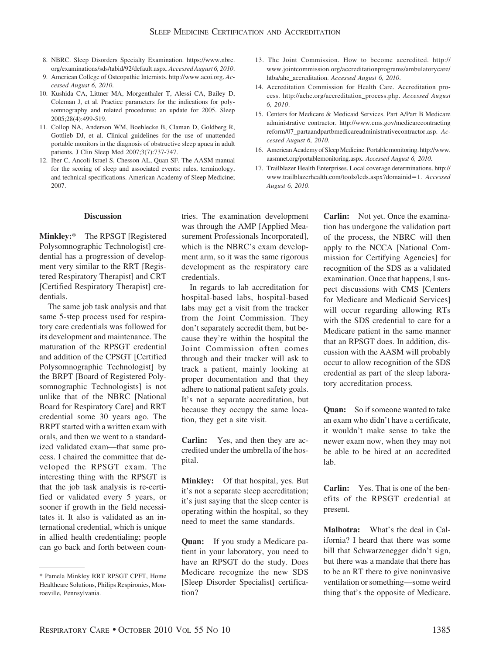- 8. NBRC. Sleep Disorders Specialty Examination. https://www.nbrc. org/examinations/sds/tabid/92/default.aspx. *Accessed August 6, 2010*.
- 9. American College of Osteopathic Internists. http://www.acoi.org. *Accessed August 6, 2010*.
- 10. Kushida CA, Littner MA, Morgenthaler T, Alessi CA, Bailey D, Coleman J, et al. Practice parameters for the indications for polysomnography and related procedures: an update for 2005. Sleep 2005;28(4):499-519.
- 11. Collop NA, Anderson WM, Boehlecke B, Claman D, Goldberg R, Gottlieb DJ, et al. Clinical guidelines for the use of unattended portable monitors in the diagnosis of obstructive sleep apnea in adult patients. J Clin Sleep Med 2007;3(7):737-747.
- 12. Iber C, Ancoli-Israel S, Chesson AL, Quan SF. The AASM manual for the scoring of sleep and associated events: rules, terminology, and technical specifications. American Academy of Sleep Medicine; 2007.
- 13. The Joint Commission. How to become accredited. http:// www.jointcommission.org/accreditationprograms/ambulatorycare/ htba/ahc\_accreditation. *Accessed August 6, 2010*.
- 14. Accreditation Commission for Health Care. Accreditation process. http://achc.org/accreditation\_process.php. *Accessed August 6, 2010*.
- 15. Centers for Medicare & Medicaid Services. Part A/Part B Medicare administrative contractor. http://www.cms.gov/medicarecontracting reform/07\_partaandpartbmedicareadministrativecontractor.asp. *Accessed August 6, 2010*.
- 16. American Academy of SleepMedicine. Portablemonitoring. http://www. aasmnet.org/portablemonitoring.aspx. *Accessed August 6, 2010*.
- 17. Trailblazer Health Enterprises. Local coverage determinations. http:// www.trailblazerhealth.com/tools/lcds.aspx?domainid=1. *Accessed August 6, 2010*.

# **Discussion**

**Minkley:\*** The RPSGT [Registered Polysomnographic Technologist] credential has a progression of development very similar to the RRT [Registered Respiratory Therapist] and CRT [Certified Respiratory Therapist] credentials.

The same job task analysis and that same 5-step process used for respiratory care credentials was followed for its development and maintenance. The maturation of the RPSGT credential and addition of the CPSGT [Certified Polysomnographic Technologist] by the BRPT [Board of Registered Polysomnographic Technologists] is not unlike that of the NBRC [National Board for Respiratory Care] and RRT credential some 30 years ago. The BRPT started with a written exam with orals, and then we went to a standardized validated exam—that same process. I chaired the committee that developed the RPSGT exam. The interesting thing with the RPSGT is that the job task analysis is re-certified or validated every 5 years, or sooner if growth in the field necessitates it. It also is validated as an international credential, which is unique in allied health credentialing; people can go back and forth between countries. The examination development was through the AMP [Applied Measurement Professionals Incorporated], which is the NBRC's exam development arm, so it was the same rigorous development as the respiratory care credentials.

In regards to lab accreditation for hospital-based labs, hospital-based labs may get a visit from the tracker from the Joint Commission. They don't separately accredit them, but because they're within the hospital the Joint Commission often comes through and their tracker will ask to track a patient, mainly looking at proper documentation and that they adhere to national patient safety goals. It's not a separate accreditation, but because they occupy the same location, they get a site visit.

**Carlin:** Yes, and then they are accredited under the umbrella of the hospital.

**Minkley:** Of that hospital, yes. But it's not a separate sleep accreditation; it's just saying that the sleep center is operating within the hospital, so they need to meet the same standards.

**Quan:** If you study a Medicare patient in your laboratory, you need to have an RPSGT do the study. Does Medicare recognize the new SDS [Sleep Disorder Specialist] certification?

**Carlin:** Not yet. Once the examination has undergone the validation part of the process, the NBRC will then apply to the NCCA [National Commission for Certifying Agencies] for recognition of the SDS as a validated examination. Once that happens, I suspect discussions with CMS [Centers for Medicare and Medicaid Services] will occur regarding allowing RTs with the SDS credential to care for a Medicare patient in the same manner that an RPSGT does. In addition, discussion with the AASM will probably occur to allow recognition of the SDS credential as part of the sleep laboratory accreditation process.

**Quan:** So if someone wanted to take an exam who didn't have a certificate, it wouldn't make sense to take the newer exam now, when they may not be able to be hired at an accredited lab.

**Carlin:** Yes. That is one of the benefits of the RPSGT credential at present.

**Malhotra:** What's the deal in California? I heard that there was some bill that Schwarzenegger didn't sign, but there was a mandate that there has to be an RT there to give noninvasive ventilation or something—some weird thing that's the opposite of Medicare.

<sup>\*</sup> Pamela Minkley RRT RPSGT CPFT, Home Healthcare Solutions, Philips Respironics, Monroeville, Pennsylvania.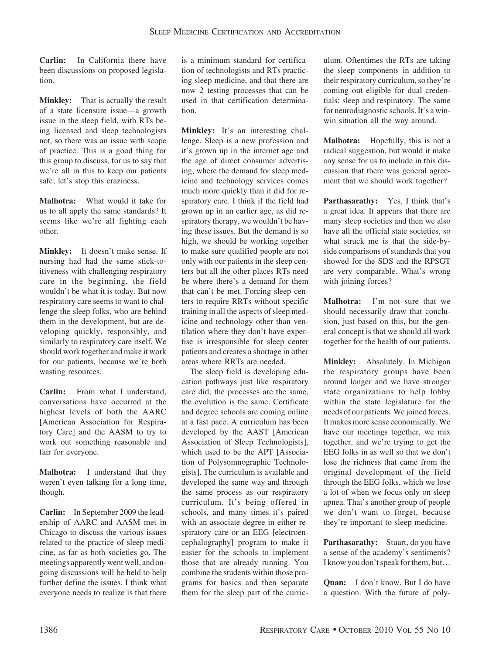**Carlin:** In California there have been discussions on proposed legislation.

**Minkley:** That is actually the result of a state licensure issue—a growth issue in the sleep field, with RTs being licensed and sleep technologists not, so there was an issue with scope of practice. This is a good thing for this group to discuss, for us to say that we're all in this to keep our patients safe; let's stop this craziness.

**Malhotra:** What would it take for us to all apply the same standards? It seems like we're all fighting each other.

**Minkley:** It doesn't make sense. If nursing had had the same stick-toitiveness with challenging respiratory care in the beginning, the field wouldn't be what it is today. But now respiratory care seems to want to challenge the sleep folks, who are behind them in the development, but are developing quickly, responsibly, and similarly to respiratory care itself. We should work together and make it work for our patients, because we're both wasting resources.

**Carlin:** From what I understand, conversations have occurred at the highest levels of both the AARC [American Association for Respiratory Care] and the AASM to try to work out something reasonable and fair for everyone.

**Malhotra:** I understand that they weren't even talking for a long time, though.

**Carlin:** In September 2009 the leadership of AARC and AASM met in Chicago to discuss the various issues related to the practice of sleep medicine, as far as both societies go. The meetings apparently went well, and ongoing discussions will be held to help further define the issues. I think what everyone needs to realize is that there

is a minimum standard for certification of technologists and RTs practicing sleep medicine, and that there are now 2 testing processes that can be used in that certification determination.

**Minkley:** It's an interesting challenge. Sleep is a new profession and it's grown up in the internet age and the age of direct consumer advertising, where the demand for sleep medicine and technology services comes much more quickly than it did for respiratory care. I think if the field had grown up in an earlier age, as did respiratory therapy, we wouldn't be having these issues. But the demand is so high, we should be working together to make sure qualified people are not only with our patients in the sleep centers but all the other places RTs need be where there's a demand for them that can't be met. Forcing sleep centers to require RRTs without specific training in all the aspects of sleep medicine and technology other than ventilation where they don't have expertise is irresponsible for sleep center patients and creates a shortage in other areas where RRTs are needed.

The sleep field is developing education pathways just like respiratory care did; the processes are the same, the evolution is the same. Certificate and degree schools are coming online at a fast pace. A curriculum has been developed by the AAST [American Association of Sleep Technologists], which used to be the APT [Association of Polysomnographic Technologists]. The curriculum is available and developed the same way and through the same process as our respiratory curriculum. It's being offered in schools, and many times it's paired with an associate degree in either respiratory care or an EEG [electroencephalography] program to make it easier for the schools to implement those that are already running. You combine the students within those programs for basics and then separate them for the sleep part of the curriculum. Oftentimes the RTs are taking the sleep components in addition to their respiratory curriculum, so they're coming out eligible for dual credentials: sleep and respiratory. The same for neurodiagnostic schools. It's a winwin situation all the way around.

**Malhotra:** Hopefully, this is not a radical suggestion, but would it make any sense for us to include in this discussion that there was general agreement that we should work together?

**Parthasarathy:** Yes, I think that's a great idea. It appears that there are many sleep societies and then we also have all the official state societies, so what struck me is that the side-byside comparisons of standards that you showed for the SDS and the RPSGT are very comparable. What's wrong with joining forces?

**Malhotra:** I'm not sure that we should necessarily draw that conclusion, just based on this, but the general concept is that we should all work together for the health of our patients.

**Minkley:** Absolutely. In Michigan the respiratory groups have been around longer and we have stronger state organizations to help lobby within the state legislature for the needs of our patients.Wejoined forces. It makes more sense economically. We have our meetings together, we mix together, and we're trying to get the EEG folks in as well so that we don't lose the richness that came from the original development of the field through the EEG folks, which we lose a lot of when we focus only on sleep apnea. That's another group of people we don't want to forget, because they're important to sleep medicine.

**Parthasarathy:** Stuart, do you have a sense of the academy's sentiments? I know you don't speak for them, but…

**Quan:** I don't know. But I do have a question. With the future of poly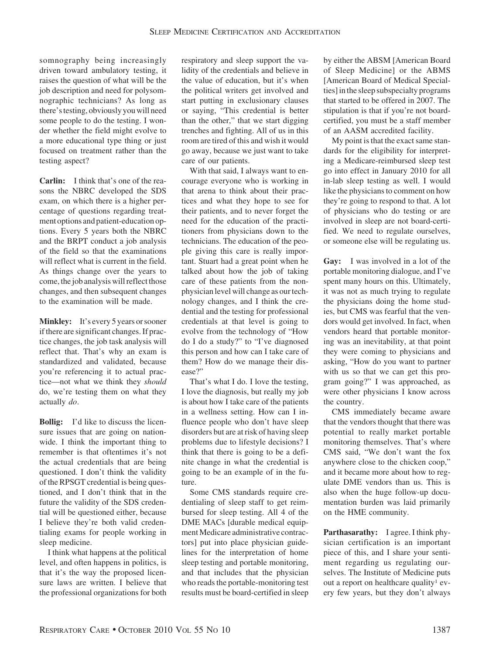somnography being increasingly driven toward ambulatory testing, it raises the question of what will be the job description and need for polysomnographic technicians? As long as there'stesting, obviously you will need some people to do the testing. I wonder whether the field might evolve to a more educational type thing or just focused on treatment rather than the testing aspect?

**Carlin:** I think that's one of the reasons the NBRC developed the SDS exam, on which there is a higher percentage of questions regarding treatment options and patient-education options. Every 5 years both the NBRC and the BRPT conduct a job analysis of the field so that the examinations will reflect what is current in the field. As things change over the years to come, the job analysis will reflect those changes, and then subsequent changes to the examination will be made.

**Minkley:** It's every 5 years or sooner if there are significant changes. If practice changes, the job task analysis will reflect that. That's why an exam is standardized and validated, because you're referencing it to actual practice—not what we think they *should* do, we're testing them on what they actually *do*.

**Bollig:** I'd like to discuss the licensure issues that are going on nationwide. I think the important thing to remember is that oftentimes it's not the actual credentials that are being questioned. I don't think the validity of the RPSGT credential is being questioned, and I don't think that in the future the validity of the SDS credential will be questioned either, because I believe they're both valid credentialing exams for people working in sleep medicine.

I think what happens at the political level, and often happens in politics, is that it's the way the proposed licensure laws are written. I believe that the professional organizations for both

respiratory and sleep support the validity of the credentials and believe in the value of education, but it's when the political writers get involved and start putting in exclusionary clauses or saying, "This credential is better than the other," that we start digging trenches and fighting. All of us in this room are tired of this and wish it would go away, because we just want to take care of our patients.

With that said, I always want to encourage everyone who is working in that arena to think about their practices and what they hope to see for their patients, and to never forget the need for the education of the practitioners from physicians down to the technicians. The education of the people giving this care is really important. Stuart had a great point when he talked about how the job of taking care of these patients from the nonphysician level will change as our technology changes, and I think the credential and the testing for professional credentials at that level is going to evolve from the technology of "How do I do a study?" to "I've diagnosed this person and how can I take care of them? How do we manage their disease?"

That's what I do. I love the testing, I love the diagnosis, but really my job is about how I take care of the patients in a wellness setting. How can I influence people who don't have sleep disorders but are at risk of having sleep problems due to lifestyle decisions? I think that there is going to be a definite change in what the credential is going to be an example of in the future.

Some CMS standards require credentialing of sleep staff to get reimbursed for sleep testing. All 4 of the DME MACs [durable medical equipmentMedicare administrative contractors] put into place physician guidelines for the interpretation of home sleep testing and portable monitoring, and that includes that the physician who reads the portable-monitoring test results must be board-certified in sleep by either the ABSM [American Board of Sleep Medicine] or the ABMS [American Board of Medical Specialties] in the sleep subspecialty programs that started to be offered in 2007. The stipulation is that if you're not boardcertified, you must be a staff member of an AASM accredited facility.

My point is that the exact same standards for the eligibility for interpreting a Medicare-reimbursed sleep test go into effect in January 2010 for all in-lab sleep testing as well. I would like the physicians to comment on how they're going to respond to that. A lot of physicians who do testing or are involved in sleep are not board-certified. We need to regulate ourselves, or someone else will be regulating us.

**Gay:** I was involved in a lot of the portable monitoring dialogue, and I've spent many hours on this. Ultimately, it was not as much trying to regulate the physicians doing the home studies, but CMS was fearful that the vendors would get involved. In fact, when vendors heard that portable monitoring was an inevitability, at that point they were coming to physicians and asking, "How do you want to partner with us so that we can get this program going?" I was approached, as were other physicians I know across the country.

CMS immediately became aware that the vendors thought that there was potential to really market portable monitoring themselves. That's where CMS said, "We don't want the fox anywhere close to the chicken coop," and it became more about how to regulate DME vendors than us. This is also when the huge follow-up documentation burden was laid primarily on the HME community.

**Parthasarathy:** I agree. I think physician certification is an important piece of this, and I share your sentiment regarding us regulating ourselves. The Institute of Medicine puts out a report on healthcare quality<sup>1</sup> every few years, but they don't always